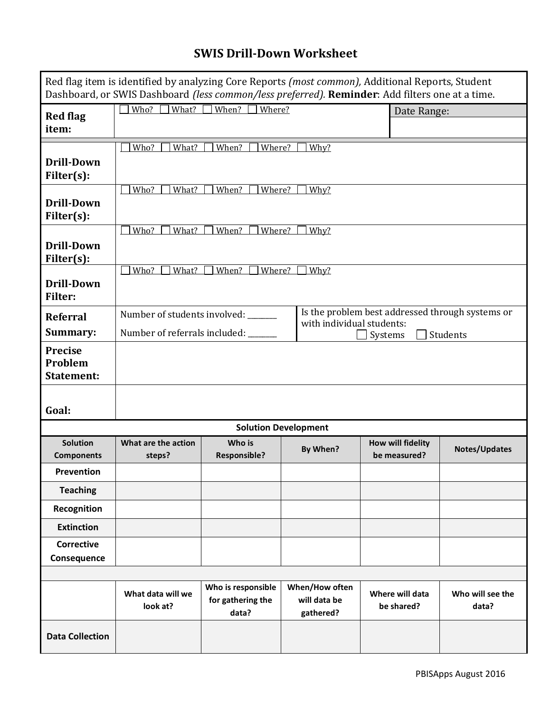## **SWIS Drill-Down Worksheet**

|                                                | Red flag item is identified by analyzing Core Reports (most common), Additional Reports, Student<br>Dashboard, or SWIS Dashboard (less common/less preferred). Reminder: Add filters one at a time. |                                                  |                                             |                                                  |                           |  |  |  |  |  |  |
|------------------------------------------------|-----------------------------------------------------------------------------------------------------------------------------------------------------------------------------------------------------|--------------------------------------------------|---------------------------------------------|--------------------------------------------------|---------------------------|--|--|--|--|--|--|
| <b>Red flag</b><br>item:                       | What?<br>Who?                                                                                                                                                                                       | When?<br>Where?                                  | Date Range:                                 |                                                  |                           |  |  |  |  |  |  |
|                                                | Who?<br>What?<br>When?<br>Where?<br>Why?                                                                                                                                                            |                                                  |                                             |                                                  |                           |  |  |  |  |  |  |
| <b>Drill-Down</b><br>Filter(s):                |                                                                                                                                                                                                     |                                                  |                                             |                                                  |                           |  |  |  |  |  |  |
| <b>Drill-Down</b><br>Filter(s):                | Who?<br>When?<br>What?<br>Where?<br>Why?                                                                                                                                                            |                                                  |                                             |                                                  |                           |  |  |  |  |  |  |
| <b>Drill-Down</b><br>Filter(s):                | Who?<br>When?<br>What?<br>Where?<br>Why?                                                                                                                                                            |                                                  |                                             |                                                  |                           |  |  |  |  |  |  |
| <b>Drill-Down</b><br><b>Filter:</b>            | Who?<br>What?                                                                                                                                                                                       | When?<br>Where?                                  | Why?                                        |                                                  |                           |  |  |  |  |  |  |
| <b>Referral</b>                                | Number of students involved:                                                                                                                                                                        |                                                  | with individual students:                   | Is the problem best addressed through systems or |                           |  |  |  |  |  |  |
| Summary:                                       | Number of referrals included: __                                                                                                                                                                    |                                                  | Systems                                     | Students                                         |                           |  |  |  |  |  |  |
| <b>Precise</b><br>Problem<br><b>Statement:</b> |                                                                                                                                                                                                     |                                                  |                                             |                                                  |                           |  |  |  |  |  |  |
| Goal:                                          |                                                                                                                                                                                                     |                                                  |                                             |                                                  |                           |  |  |  |  |  |  |
|                                                |                                                                                                                                                                                                     |                                                  | <b>Solution Development</b>                 |                                                  |                           |  |  |  |  |  |  |
| <b>Solution</b><br><b>Components</b>           | What are the action<br>steps?                                                                                                                                                                       | Who is<br><b>Responsible?</b>                    | By When?                                    | How will fidelity<br>be measured?                | Notes/Updates             |  |  |  |  |  |  |
| Prevention                                     |                                                                                                                                                                                                     |                                                  |                                             |                                                  |                           |  |  |  |  |  |  |
| <b>Teaching</b>                                |                                                                                                                                                                                                     |                                                  |                                             |                                                  |                           |  |  |  |  |  |  |
| Recognition                                    |                                                                                                                                                                                                     |                                                  |                                             |                                                  |                           |  |  |  |  |  |  |
| <b>Extinction</b>                              |                                                                                                                                                                                                     |                                                  |                                             |                                                  |                           |  |  |  |  |  |  |
| <b>Corrective</b><br>Consequence               |                                                                                                                                                                                                     |                                                  |                                             |                                                  |                           |  |  |  |  |  |  |
|                                                |                                                                                                                                                                                                     |                                                  |                                             |                                                  |                           |  |  |  |  |  |  |
|                                                | What data will we<br>look at?                                                                                                                                                                       | Who is responsible<br>for gathering the<br>data? | When/How often<br>will data be<br>gathered? | Where will data<br>be shared?                    | Who will see the<br>data? |  |  |  |  |  |  |
| <b>Data Collection</b>                         |                                                                                                                                                                                                     |                                                  |                                             |                                                  |                           |  |  |  |  |  |  |